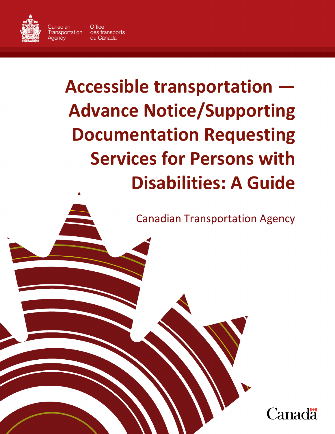

Aaencv

Canadian **Office** Transportation des transports du Canada

# **Accessible transportation — Advance Notice/Supporting Documentation Requesting Services for Persons with Disabilities: A Guide**

Page 1

Canadian Transportation Agency

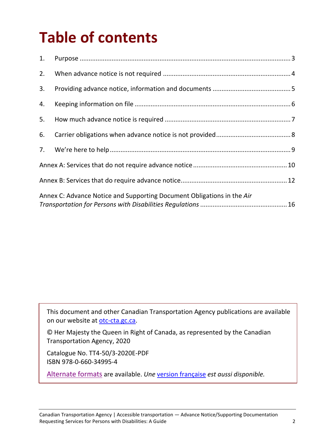# **Table of contents**

| 1. |                                                                        |  |  |
|----|------------------------------------------------------------------------|--|--|
| 2. |                                                                        |  |  |
| 3. |                                                                        |  |  |
| 4. |                                                                        |  |  |
| 5. |                                                                        |  |  |
| 6. |                                                                        |  |  |
|    |                                                                        |  |  |
|    |                                                                        |  |  |
|    |                                                                        |  |  |
|    | Annex C: Advance Notice and Supporting Document Obligations in the Air |  |  |

This document and other Canadian Transportation Agency publications are available on our website at [otc-cta.gc.ca.](https://otc-cta.gc.ca/eng)

© Her Majesty the Queen in Right of Canada, as represented by the Canadian Transportation Agency, 2020

Catalogue No. TT4-50/3-2020E-PDF ISBN 978-0-660-34995-4

[Alternate formats](https://otc-cta.gc.ca/eng/publication/advance-noticesupporting-documentation-requesting-services-persons-disabilities-a-guide) are available. *Une* [version française](https://otc-cta.gc.ca/fra/publication/guide-sur-preavis-et-documents-a-lappui-dune-demande-services-pour-personnes-handicapees) *est aussi disponible.*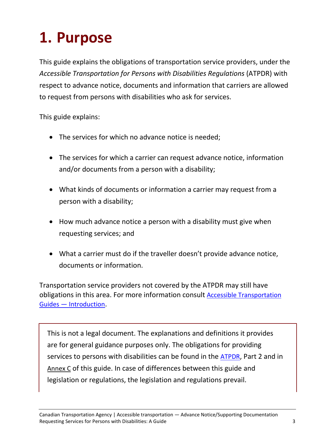## <span id="page-2-0"></span>**1. Purpose**

This guide explains the obligations of transportation service providers, under the *Accessible Transportation for Persons with Disabilities Regulations* (ATPDR) with respect to advance notice, documents and information that carriers are allowed to request from persons with disabilities who ask for services.

This guide explains:

- The services for which no advance notice is needed;
- The services for which a carrier can request advance notice, information and/or documents from a person with a disability;
- What kinds of documents or information a carrier may request from a person with a disability;
- How much advance notice a person with a disability must give when requesting services; and
- What a carrier must do if the traveller doesn't provide advance notice, documents or information.

Transportation service providers not covered by the ATPDR may still have obligations in this area. For more information consult [Accessible Transportation](https://otc-cta.gc.ca/eng/publication/accessible-transportation-guides-introduction)  [Guides — Introduction.](https://otc-cta.gc.ca/eng/publication/accessible-transportation-guides-introduction)

This is not a legal document. The explanations and definitions it provides are for general guidance purposes only. The obligations for providing services to persons with disabilities can be found in the [ATPDR,](https://laws-lois.justice.gc.ca/eng/acts/c-10.4/) Part 2 and in [Annex C](#page-15-0) of this guide. In case of differences between this guide and legislation or regulations, the legislation and regulations prevail.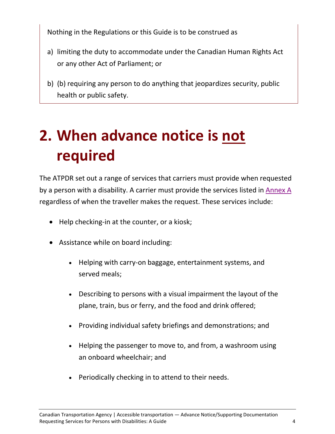Nothing in the Regulations or this Guide is to be construed as

- a) limiting the duty to accommodate under the Canadian Human Rights Act or any other Act of Parliament; or
- b) (b) requiring any person to do anything that jeopardizes security, public health or public safety.

# <span id="page-3-0"></span>**2. When advance notice is not required**

The ATPDR set out a range of services that carriers must provide when requested by a person with a disability. A carrier must provide the services listed in [Annex A](#page-9-0) regardless of when the traveller makes the request. These services include:

- Help checking-in at the counter, or a kiosk;
- Assistance while on board including:
	- Helping with carry-on baggage, entertainment systems, and served meals;
	- Describing to persons with a visual impairment the layout of the plane, train, bus or ferry, and the food and drink offered;
	- Providing individual safety briefings and demonstrations; and
	- Helping the passenger to move to, and from, a washroom using an onboard wheelchair; and
	- Periodically checking in to attend to their needs.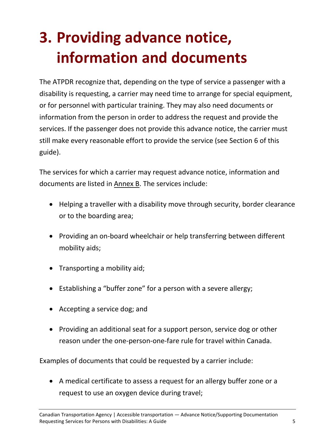# <span id="page-4-0"></span>**3. Providing advance notice, information and documents**

The ATPDR recognize that, depending on the type of service a passenger with a disability is requesting, a carrier may need time to arrange for special equipment, or for personnel with particular training. They may also need documents or information from the person in order to address the request and provide the services. If the passenger does not provide this advance notice, the carrier must still make every reasonable effort to provide the service (see Section 6 of this guide).

The services for which a carrier may request advance notice, information and documents are listed in [Annex B.](#page-10-0) The services include:

- Helping a traveller with a disability move through security, border clearance or to the boarding area;
- Providing an on-board wheelchair or help transferring between different mobility aids;
- Transporting a mobility aid;
- Establishing a "buffer zone" for a person with a severe allergy;
- Accepting a service dog; and
- Providing an additional seat for a support person, service dog or other reason under the one-person-one-fare rule for travel within Canada.

Examples of documents that could be requested by a carrier include:

• A medical certificate to assess a request for an allergy buffer zone or a request to use an oxygen device during travel;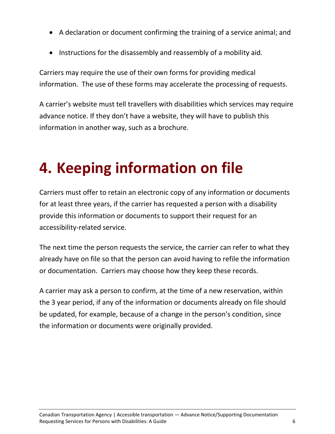- A declaration or document confirming the training of a service animal; and
- Instructions for the disassembly and reassembly of a mobility aid.

Carriers may require the use of their own forms for providing medical information. The use of these forms may accelerate the processing of requests.

A carrier's website must tell travellers with disabilities which services may require advance notice. If they don't have a website, they will have to publish this information in another way, such as a brochure.

#### <span id="page-5-0"></span>**4. Keeping information on file**

Carriers must offer to retain an electronic copy of any information or documents for at least three years, if the carrier has requested a person with a disability provide this information or documents to support their request for an accessibility-related service.

The next time the person requests the service, the carrier can refer to what they already have on file so that the person can avoid having to refile the information or documentation. Carriers may choose how they keep these records.

<span id="page-5-1"></span>A carrier may ask a person to confirm, at the time of a new reservation, within the 3 year period, if any of the information or documents already on file should be updated, for example, because of a change in the person's condition, since the information or documents were originally provided.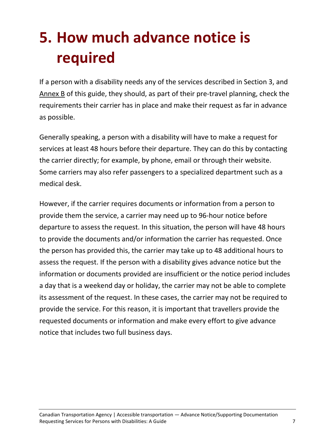# **5. How much advance notice is required**

If a person with a disability needs any of the services described in Section 3, and [Annex B](#page-10-0) of this guide, they should, as part of their pre-travel planning, check the requirements their carrier has in place and make their request as far in advance as possible.

Generally speaking, a person with a disability will have to make a request for services at least 48 hours before their departure. They can do this by contacting the carrier directly; for example, by phone, email or through their website. Some carriers may also refer passengers to a specialized department such as a medical desk.

<span id="page-6-0"></span>However, if the carrier requires documents or information from a person to provide them the service, a carrier may need up to 96-hour notice before departure to assess the request. In this situation, the person will have 48 hours to provide the documents and/or information the carrier has requested. Once the person has provided this, the carrier may take up to 48 additional hours to assess the request. If the person with a disability gives advance notice but the information or documents provided are insufficient or the notice period includes a day that is a weekend day or holiday, the carrier may not be able to complete its assessment of the request. In these cases, the carrier may not be required to provide the service. For this reason, it is important that travellers provide the requested documents or information and make every effort to give advance notice that includes two full business days.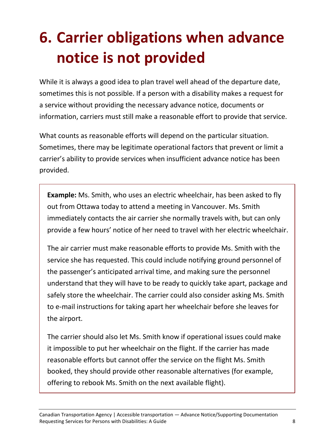# **6. Carrier obligations when advance notice is not provided**

While it is always a good idea to plan travel well ahead of the departure date, sometimes this is not possible. If a person with a disability makes a request for a service without providing the necessary advance notice, documents or information, carriers must still make a reasonable effort to provide that service.

What counts as reasonable efforts will depend on the particular situation. Sometimes, there may be legitimate operational factors that prevent or limit a carrier's ability to provide services when insufficient advance notice has been provided.

**Example:** Ms. Smith, who uses an electric wheelchair, has been asked to fly out from Ottawa today to attend a meeting in Vancouver. Ms. Smith immediately contacts the air carrier she normally travels with, but can only provide a few hours' notice of her need to travel with her electric wheelchair.

The air carrier must make reasonable efforts to provide Ms. Smith with the service she has requested. This could include notifying ground personnel of the passenger's anticipated arrival time, and making sure the personnel understand that they will have to be ready to quickly take apart, package and safely store the wheelchair. The carrier could also consider asking Ms. Smith to e-mail instructions for taking apart her wheelchair before she leaves for the airport.

The carrier should also let Ms. Smith know if operational issues could make it impossible to put her wheelchair on the flight. If the carrier has made reasonable efforts but cannot offer the service on the flight Ms. Smith booked, they should provide other reasonable alternatives (for example, offering to rebook Ms. Smith on the next available flight).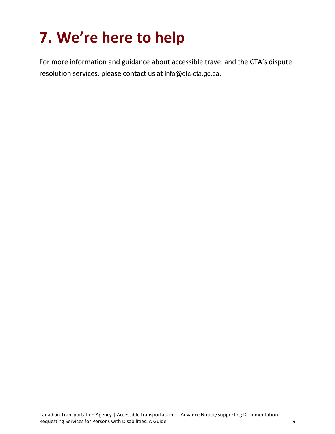#### <span id="page-8-0"></span>**7. We're here to help**

For more information and guidance about accessible travel and the CTA's dispute resolution services, please contact us at [info@otc-cta.gc.ca](mailto:info@otc-cta.gc.ca).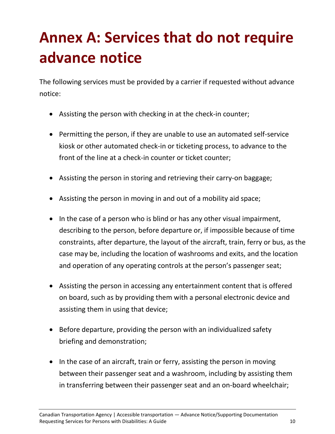# <span id="page-9-0"></span>**Annex A: Services that do not require advance notice**

The following services must be provided by a carrier if requested without advance notice:

- Assisting the person with checking in at the check-in counter;
- Permitting the person, if they are unable to use an automated self-service kiosk or other automated check-in or ticketing process, to advance to the front of the line at a check-in counter or ticket counter;
- Assisting the person in storing and retrieving their carry-on baggage;
- Assisting the person in moving in and out of a mobility aid space;
- In the case of a person who is blind or has any other visual impairment, describing to the person, before departure or, if impossible because of time constraints, after departure, the layout of the aircraft, train, ferry or bus, as the case may be, including the location of washrooms and exits, and the location and operation of any operating controls at the person's passenger seat;
- Assisting the person in accessing any entertainment content that is offered on board, such as by providing them with a personal electronic device and assisting them in using that device;
- Before departure, providing the person with an individualized safety briefing and demonstration;
- In the case of an aircraft, train or ferry, assisting the person in moving between their passenger seat and a washroom, including by assisting them in transferring between their passenger seat and an on-board wheelchair;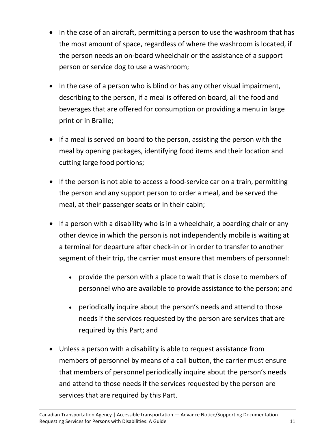- In the case of an aircraft, permitting a person to use the washroom that has the most amount of space, regardless of where the washroom is located, if the person needs an on-board wheelchair or the assistance of a support person or service dog to use a washroom;
- In the case of a person who is blind or has any other visual impairment, describing to the person, if a meal is offered on board, all the food and beverages that are offered for consumption or providing a menu in large print or in Braille;
- If a meal is served on board to the person, assisting the person with the meal by opening packages, identifying food items and their location and cutting large food portions;
- If the person is not able to access a food-service car on a train, permitting the person and any support person to order a meal, and be served the meal, at their passenger seats or in their cabin;
- If a person with a disability who is in a wheelchair, a boarding chair or any other device in which the person is not independently mobile is waiting at a terminal for departure after check-in or in order to transfer to another segment of their trip, the carrier must ensure that members of personnel:
	- provide the person with a place to wait that is close to members of personnel who are available to provide assistance to the person; and
	- periodically inquire about the person's needs and attend to those needs if the services requested by the person are services that are required by this Part; and
- <span id="page-10-0"></span>• Unless a person with a disability is able to request assistance from members of personnel by means of a call button, the carrier must ensure that members of personnel periodically inquire about the person's needs and attend to those needs if the services requested by the person are services that are required by this Part.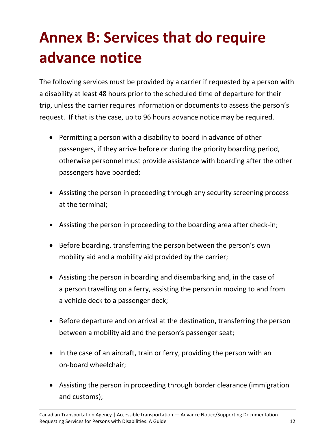# <span id="page-11-0"></span>**Annex B: Services that do require advance notice**

The following services must be provided by a carrier if requested by a person with a disability at least 48 hours prior to the scheduled time of departure for their trip, unless the carrier requires information or documents to assess the person's request. If that is the case, up to 96 hours advance notice may be required.

- Permitting a person with a disability to board in advance of other passengers, if they arrive before or during the priority boarding period, otherwise personnel must provide assistance with boarding after the other passengers have boarded;
- Assisting the person in proceeding through any security screening process at the terminal;
- Assisting the person in proceeding to the boarding area after check-in;
- Before boarding, transferring the person between the person's own mobility aid and a mobility aid provided by the carrier;
- Assisting the person in boarding and disembarking and, in the case of a person travelling on a ferry, assisting the person in moving to and from a vehicle deck to a passenger deck;
- Before departure and on arrival at the destination, transferring the person between a mobility aid and the person's passenger seat;
- In the case of an aircraft, train or ferry, providing the person with an on-board wheelchair;
- Assisting the person in proceeding through border clearance (immigration and customs);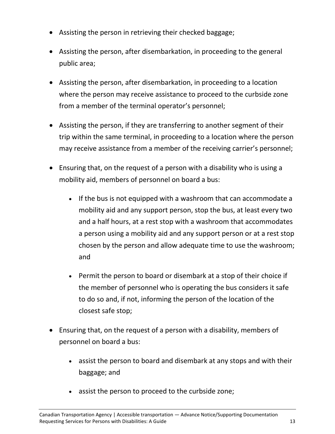- Assisting the person in retrieving their checked baggage;
- Assisting the person, after disembarkation, in proceeding to the general public area;
- Assisting the person, after disembarkation, in proceeding to a location where the person may receive assistance to proceed to the curbside zone from a member of the terminal operator's personnel;
- Assisting the person, if they are transferring to another segment of their trip within the same terminal, in proceeding to a location where the person may receive assistance from a member of the receiving carrier's personnel;
- Ensuring that, on the request of a person with a disability who is using a mobility aid, members of personnel on board a bus:
	- If the bus is not equipped with a washroom that can accommodate a mobility aid and any support person, stop the bus, at least every two and a half hours, at a rest stop with a washroom that accommodates a person using a mobility aid and any support person or at a rest stop chosen by the person and allow adequate time to use the washroom; and
	- Permit the person to board or disembark at a stop of their choice if the member of personnel who is operating the bus considers it safe to do so and, if not, informing the person of the location of the closest safe stop;
- Ensuring that, on the request of a person with a disability, members of personnel on board a bus:
	- assist the person to board and disembark at any stops and with their baggage; and
	- assist the person to proceed to the curbside zone;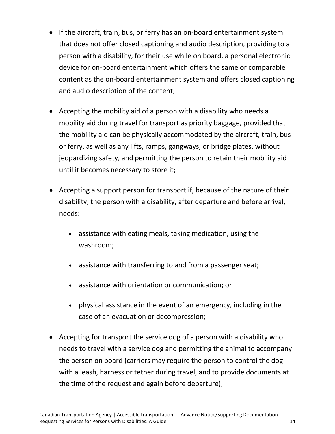- If the aircraft, train, bus, or ferry has an on-board entertainment system that does not offer closed captioning and audio description, providing to a person with a disability, for their use while on board, a personal electronic device for on-board entertainment which offers the same or comparable content as the on-board entertainment system and offers closed captioning and audio description of the content;
- Accepting the mobility aid of a person with a disability who needs a mobility aid during travel for transport as priority baggage, provided that the mobility aid can be physically accommodated by the aircraft, train, bus or ferry, as well as any lifts, ramps, gangways, or bridge plates, without jeopardizing safety, and permitting the person to retain their mobility aid until it becomes necessary to store it;
- Accepting a support person for transport if, because of the nature of their disability, the person with a disability, after departure and before arrival, needs:
	- assistance with eating meals, taking medication, using the washroom;
	- assistance with transferring to and from a passenger seat;
	- assistance with orientation or communication; or
	- physical assistance in the event of an emergency, including in the case of an evacuation or decompression;
- Accepting for transport the service dog of a person with a disability who needs to travel with a service dog and permitting the animal to accompany the person on board (carriers may require the person to control the dog with a leash, harness or tether during travel, and to provide documents at the time of the request and again before departure);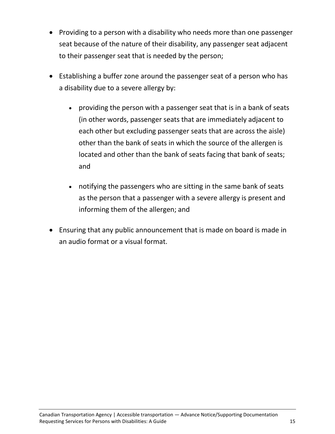- Providing to a person with a disability who needs more than one passenger seat because of the nature of their disability, any passenger seat adjacent to their passenger seat that is needed by the person;
- Establishing a buffer zone around the passenger seat of a person who has a disability due to a severe allergy by:
	- providing the person with a passenger seat that is in a bank of seats (in other words, passenger seats that are immediately adjacent to each other but excluding passenger seats that are across the aisle) other than the bank of seats in which the source of the allergen is located and other than the bank of seats facing that bank of seats; and
	- notifying the passengers who are sitting in the same bank of seats as the person that a passenger with a severe allergy is present and informing them of the allergen; and
- Ensuring that any public announcement that is made on board is made in an audio format or a visual format.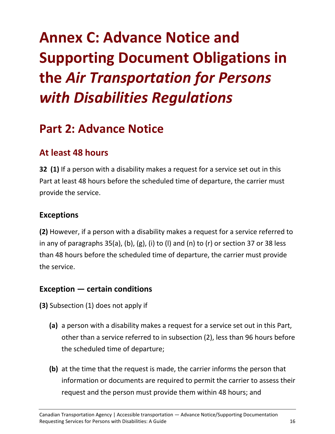# <span id="page-15-0"></span>**Annex C: Advance Notice and Supporting Document Obligations in the** *Air Transportation for Persons with Disabilities Regulations*

#### **Part 2: Advance Notice**

#### **At least 48 hours**

**32 (1)** If a person with a disability makes a request for a service set out in this Part at least 48 hours before the scheduled time of departure, the carrier must provide the service.

#### **Exceptions**

**(2)** However, if a person with a disability makes a request for a service referred to in any of paragraphs 35(a), (b), (g), (i) to (l) and (n) to (r) or section 37 or 38 less than 48 hours before the scheduled time of departure, the carrier must provide the service.

#### **Exception — certain conditions**

**(3)** Subsection (1) does not apply if

- **(a)** a person with a disability makes a request for a service set out in this Part, other than a service referred to in subsection (2), less than 96 hours before the scheduled time of departure;
- **(b)** at the time that the request is made, the carrier informs the person that information or documents are required to permit the carrier to assess their request and the person must provide them within 48 hours; and